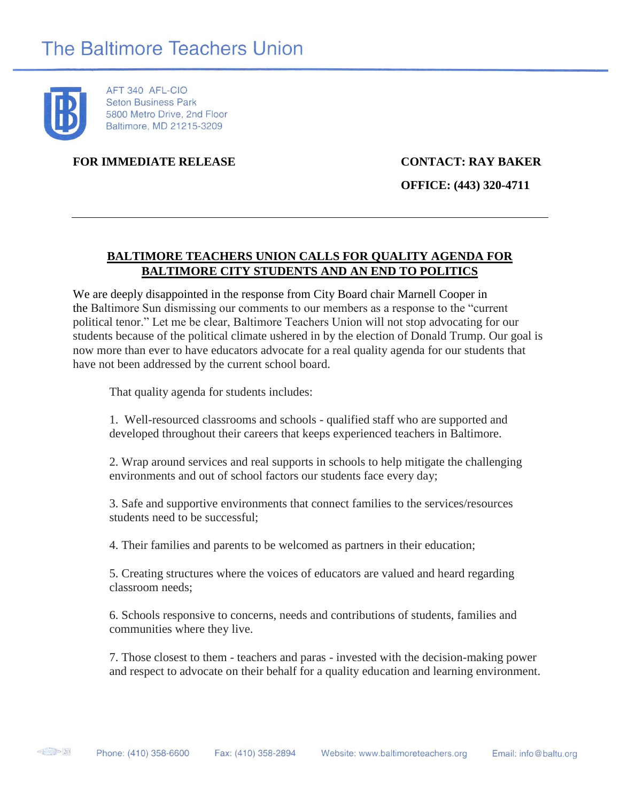

AFT 340 AFL-CIO **Seton Business Park** 5800 Metro Drive, 2nd Floor Baltimore, MD 21215-3209

**FOR IMMEDIATE RELEASE CONTACT: RAY BAKER**

**OFFICE: (443) 320-4711**

## **BALTIMORE TEACHERS UNION CALLS FOR QUALITY AGENDA FOR BALTIMORE CITY STUDENTS AND AN END TO POLITICS**

We are deeply disappointed in the response from City Board chair Marnell Cooper in the Baltimore Sun dismissing our comments to our members as a response to the "current political tenor." Let me be clear, Baltimore Teachers Union will not stop advocating for our students because of the political climate ushered in by the election of Donald Trump. Our goal is now more than ever to have educators advocate for a real quality agenda for our students that have not been addressed by the current school board.

That quality agenda for students includes:

1. Well-resourced classrooms and schools - qualified staff who are supported and developed throughout their careers that keeps experienced teachers in Baltimore.

2. Wrap around services and real supports in schools to help mitigate the challenging environments and out of school factors our students face every day;

3. Safe and supportive environments that connect families to the services/resources students need to be successful;

4. Their families and parents to be welcomed as partners in their education;

5. Creating structures where the voices of educators are valued and heard regarding classroom needs;

6. Schools responsive to concerns, needs and contributions of students, families and communities where they live.

7. Those closest to them - teachers and paras - invested with the decision-making power and respect to advocate on their behalf for a quality education and learning environment.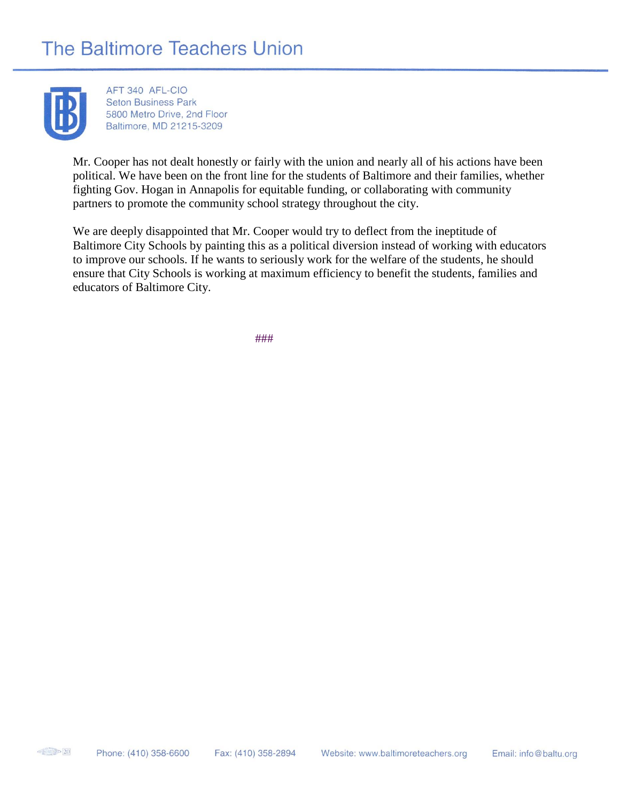## **The Baltimore Teachers Union**



AFT 340 AFL-CIO **Seton Business Park** 5800 Metro Drive, 2nd Floor Baltimore, MD 21215-3209

Mr. Cooper has not dealt honestly or fairly with the union and nearly all of his actions have been political. We have been on the front line for the students of Baltimore and their families, whether fighting Gov. Hogan in Annapolis for equitable funding, or collaborating with community partners to promote the community school strategy throughout the city.

We are deeply disappointed that Mr. Cooper would try to deflect from the ineptitude of Baltimore City Schools by painting this as a political diversion instead of working with educators to improve our schools. If he wants to seriously work for the welfare of the students, he should ensure that City Schools is working at maximum efficiency to benefit the students, families and educators of Baltimore City.

###